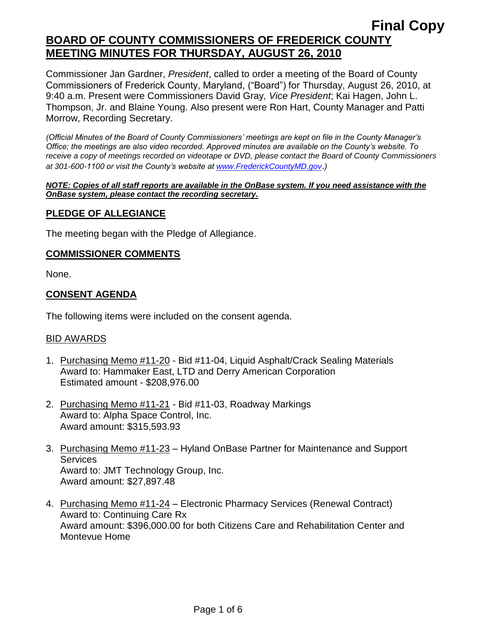# **Final Copy BOARD OF COUNTY COMMISSIONERS OF FREDERICK COUNTY MEETING MINUTES FOR THURSDAY, AUGUST 26, 2010**

Commissioner Jan Gardner, *President*, called to order a meeting of the Board of County Commissioners of Frederick County, Maryland, ("Board") for Thursday, August 26, 2010, at 9:40 a.m. Present were Commissioners David Gray*, Vice President*; Kai Hagen, John L. Thompson, Jr. and Blaine Young. Also present were Ron Hart, County Manager and Patti Morrow, Recording Secretary.

*(Official Minutes of the Board of County Commissioners' meetings are kept on file in the County Manager's Office; the meetings are also video recorded. Approved minutes are available on the County's website. To receive a copy of meetings recorded on videotape or DVD, please contact the Board of County Commissioners at 301-600-1100 or visit the County's website at [www.FrederickCountyMD.gov](http://www.frederickcountymd.gov/)*.*)*

#### *NOTE: Copies of all staff reports are available in the OnBase system. If you need assistance with the OnBase system, please contact the recording secretary.*

### **PLEDGE OF ALLEGIANCE**

The meeting began with the Pledge of Allegiance.

#### **COMMISSIONER COMMENTS**

None.

### **CONSENT AGENDA**

The following items were included on the consent agenda.

#### BID AWARDS

- 1. Purchasing Memo #11-20 Bid #11-04, Liquid Asphalt/Crack Sealing Materials Award to: Hammaker East, LTD and Derry American Corporation Estimated amount - \$208,976.00
- 2. Purchasing Memo #11-21 Bid #11-03, Roadway Markings Award to: Alpha Space Control, Inc. Award amount: \$315,593.93
- 3. Purchasing Memo #11-23 Hyland OnBase Partner for Maintenance and Support **Services** Award to: JMT Technology Group, Inc. Award amount: \$27,897.48
- 4. Purchasing Memo #11-24 Electronic Pharmacy Services (Renewal Contract) Award to: Continuing Care Rx Award amount: \$396,000.00 for both Citizens Care and Rehabilitation Center and Montevue Home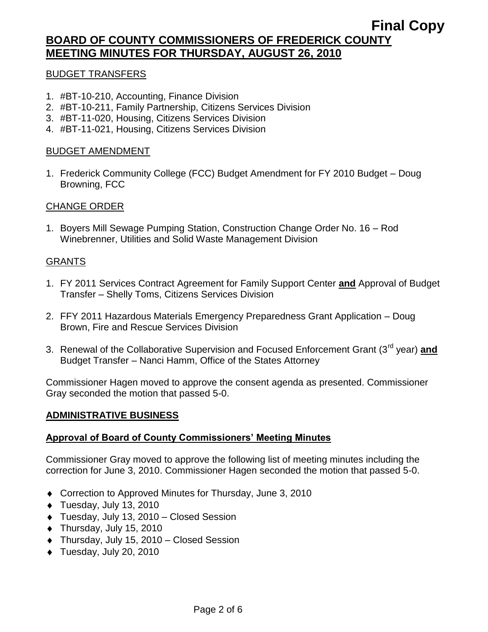# **BOARD OF COUNTY COMMISSIONERS OF FREDERICK COUNTY MEETING MINUTES FOR THURSDAY, AUGUST 26, 2010**

#### BUDGET TRANSFERS

- 1. #BT-10-210, Accounting, Finance Division
- 2. #BT-10-211, Family Partnership, Citizens Services Division
- 3. #BT-11-020, Housing, Citizens Services Division
- 4. #BT-11-021, Housing, Citizens Services Division

### BUDGET AMENDMENT

1. Frederick Community College (FCC) Budget Amendment for FY 2010 Budget – Doug Browning, FCC

# CHANGE ORDER

1. Boyers Mill Sewage Pumping Station, Construction Change Order No. 16 – Rod Winebrenner, Utilities and Solid Waste Management Division

#### GRANTS

- 1. FY 2011 Services Contract Agreement for Family Support Center **and** Approval of Budget Transfer – Shelly Toms, Citizens Services Division
- 2. FFY 2011 Hazardous Materials Emergency Preparedness Grant Application Doug Brown, Fire and Rescue Services Division
- 3. Renewal of the Collaborative Supervision and Focused Enforcement Grant (3rd year) **and** Budget Transfer – Nanci Hamm, Office of the States Attorney

Commissioner Hagen moved to approve the consent agenda as presented. Commissioner Gray seconded the motion that passed 5-0.

### **ADMINISTRATIVE BUSINESS**

### **Approval of Board of County Commissioners' Meeting Minutes**

Commissioner Gray moved to approve the following list of meeting minutes including the correction for June 3, 2010. Commissioner Hagen seconded the motion that passed 5-0.

- ◆ Correction to Approved Minutes for Thursday, June 3, 2010
- Tuesday, July 13, 2010
- Tuesday, July 13, 2010 Closed Session
- $\bullet$  Thursday, July 15, 2010
- Thursday, July 15, 2010 Closed Session
- Tuesday, July 20, 2010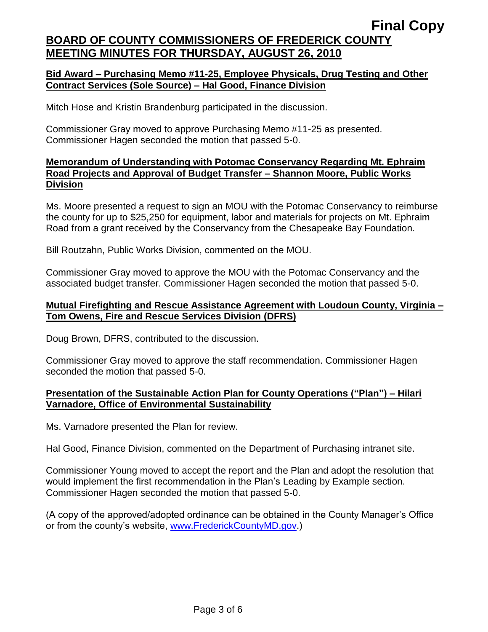# **Final Copy BOARD OF COUNTY COMMISSIONERS OF FREDERICK COUNTY MEETING MINUTES FOR THURSDAY, AUGUST 26, 2010**

## **Bid Award – Purchasing Memo #11-25, Employee Physicals, Drug Testing and Other Contract Services (Sole Source) – Hal Good, Finance Division**

Mitch Hose and Kristin Brandenburg participated in the discussion.

Commissioner Gray moved to approve Purchasing Memo #11-25 as presented. Commissioner Hagen seconded the motion that passed 5-0.

## **Memorandum of Understanding with Potomac Conservancy Regarding Mt. Ephraim Road Projects and Approval of Budget Transfer – Shannon Moore, Public Works Division**

Ms. Moore presented a request to sign an MOU with the Potomac Conservancy to reimburse the county for up to \$25,250 for equipment, labor and materials for projects on Mt. Ephraim Road from a grant received by the Conservancy from the Chesapeake Bay Foundation.

Bill Routzahn, Public Works Division, commented on the MOU.

Commissioner Gray moved to approve the MOU with the Potomac Conservancy and the associated budget transfer. Commissioner Hagen seconded the motion that passed 5-0.

## **Mutual Firefighting and Rescue Assistance Agreement with Loudoun County, Virginia – Tom Owens, Fire and Rescue Services Division (DFRS)**

Doug Brown, DFRS, contributed to the discussion.

Commissioner Gray moved to approve the staff recommendation. Commissioner Hagen seconded the motion that passed 5-0.

# **Presentation of the Sustainable Action Plan for County Operations ("Plan") – Hilari Varnadore, Office of Environmental Sustainability**

Ms. Varnadore presented the Plan for review.

Hal Good, Finance Division, commented on the Department of Purchasing intranet site.

Commissioner Young moved to accept the report and the Plan and adopt the resolution that would implement the first recommendation in the Plan's Leading by Example section. Commissioner Hagen seconded the motion that passed 5-0.

(A copy of the approved/adopted ordinance can be obtained in the County Manager's Office or from the county's website, [www.FrederickCountyMD.gov.](http://www.frederickcountymd.gov/))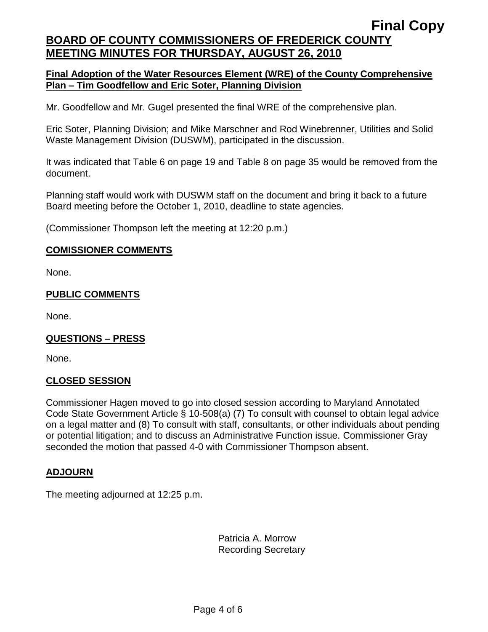# **Final Copy BOARD OF COUNTY COMMISSIONERS OF FREDERICK COUNTY MEETING MINUTES FOR THURSDAY, AUGUST 26, 2010**

## **Final Adoption of the Water Resources Element (WRE) of the County Comprehensive Plan – Tim Goodfellow and Eric Soter, Planning Division**

Mr. Goodfellow and Mr. Gugel presented the final WRE of the comprehensive plan.

Eric Soter, Planning Division; and Mike Marschner and Rod Winebrenner, Utilities and Solid Waste Management Division (DUSWM), participated in the discussion.

It was indicated that Table 6 on page 19 and Table 8 on page 35 would be removed from the document.

Planning staff would work with DUSWM staff on the document and bring it back to a future Board meeting before the October 1, 2010, deadline to state agencies.

(Commissioner Thompson left the meeting at 12:20 p.m.)

#### **COMISSIONER COMMENTS**

None.

### **PUBLIC COMMENTS**

None.

### **QUESTIONS – PRESS**

None.

### **CLOSED SESSION**

Commissioner Hagen moved to go into closed session according to Maryland Annotated Code State Government Article § 10-508(a) (7) To consult with counsel to obtain legal advice on a legal matter and (8) To consult with staff, consultants, or other individuals about pending or potential litigation; and to discuss an Administrative Function issue. Commissioner Gray seconded the motion that passed 4-0 with Commissioner Thompson absent.

#### **ADJOURN**

The meeting adjourned at 12:25 p.m.

Patricia A. Morrow Recording Secretary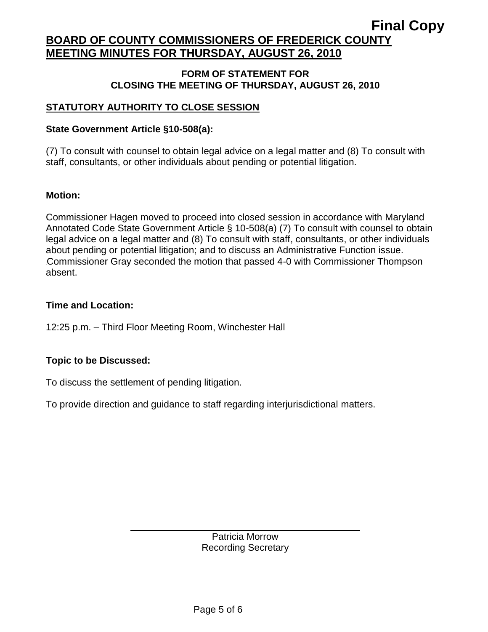# **BOARD OF COUNTY COMMISSIONERS OF FREDERICK COUNTY MEETING MINUTES FOR THURSDAY, AUGUST 26, 2010**

#### **FORM OF STATEMENT FOR CLOSING THE MEETING OF THURSDAY, AUGUST 26, 2010**

# **STATUTORY AUTHORITY TO CLOSE SESSION**

## **State Government Article §10-508(a):**

(7) To consult with counsel to obtain legal advice on a legal matter and (8) To consult with staff, consultants, or other individuals about pending or potential litigation.

### **Motion:**

Commissioner Hagen moved to proceed into closed session in accordance with Maryland Annotated Code State Government Article § 10-508(a) (7) To consult with counsel to obtain legal advice on a legal matter and (8) To consult with staff, consultants, or other individuals about pending or potential litigation; and to discuss an Administrative Function issue. .Commissioner Gray seconded the motion that passed 4-0 with Commissioner Thompson absent.

# **Time and Location:**

12:25 p.m. – Third Floor Meeting Room, Winchester Hall

# **Topic to be Discussed:**

To discuss the settlement of pending litigation.

To provide direction and guidance to staff regarding interjurisdictional matters.

Patricia Morrow Recording Secretary